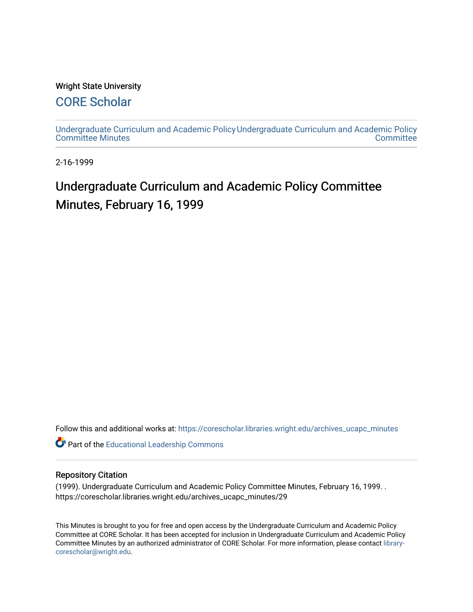### Wright State University

### [CORE Scholar](https://corescholar.libraries.wright.edu/)

[Undergraduate Curriculum and Academic Policy](https://corescholar.libraries.wright.edu/archives_ucapc_minutes) [Undergraduate Curriculum and Academic Policy](https://corescholar.libraries.wright.edu/archives_ucapc)  [Committee Minutes](https://corescholar.libraries.wright.edu/archives_ucapc_minutes) **Committee** 

2-16-1999

## Undergraduate Curriculum and Academic Policy Committee Minutes, February 16, 1999

Follow this and additional works at: [https://corescholar.libraries.wright.edu/archives\\_ucapc\\_minutes](https://corescholar.libraries.wright.edu/archives_ucapc_minutes?utm_source=corescholar.libraries.wright.edu%2Farchives_ucapc_minutes%2F29&utm_medium=PDF&utm_campaign=PDFCoverPages) 

Part of the [Educational Leadership Commons](http://network.bepress.com/hgg/discipline/1230?utm_source=corescholar.libraries.wright.edu%2Farchives_ucapc_minutes%2F29&utm_medium=PDF&utm_campaign=PDFCoverPages) 

#### Repository Citation

(1999). Undergraduate Curriculum and Academic Policy Committee Minutes, February 16, 1999. . https://corescholar.libraries.wright.edu/archives\_ucapc\_minutes/29

This Minutes is brought to you for free and open access by the Undergraduate Curriculum and Academic Policy Committee at CORE Scholar. It has been accepted for inclusion in Undergraduate Curriculum and Academic Policy Committee Minutes by an authorized administrator of CORE Scholar. For more information, please contact [library](mailto:library-corescholar@wright.edu)[corescholar@wright.edu](mailto:library-corescholar@wright.edu).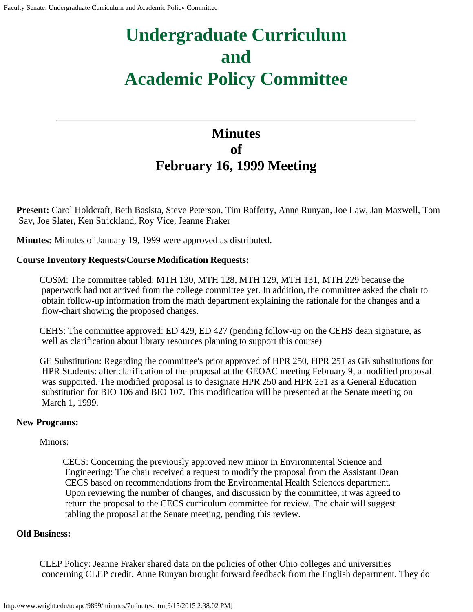# **Undergraduate Curriculum and Academic Policy Committee**

### **Minutes of February 16, 1999 Meeting**

**Present:** Carol Holdcraft, Beth Basista, Steve Peterson, Tim Rafferty, Anne Runyan, Joe Law, Jan Maxwell, Tom Sav, Joe Slater, Ken Strickland, Roy Vice, Jeanne Fraker

**Minutes:** Minutes of January 19, 1999 were approved as distributed.

### **Course Inventory Requests/Course Modification Requests:**

COSM: The committee tabled: MTH 130, MTH 128, MTH 129, MTH 131, MTH 229 because the paperwork had not arrived from the college committee yet. In addition, the committee asked the chair to obtain follow-up information from the math department explaining the rationale for the changes and a flow-chart showing the proposed changes.

CEHS: The committee approved: ED 429, ED 427 (pending follow-up on the CEHS dean signature, as well as clarification about library resources planning to support this course)

GE Substitution: Regarding the committee's prior approved of HPR 250, HPR 251 as GE substitutions for HPR Students: after clarification of the proposal at the GEOAC meeting February 9, a modified proposal was supported. The modified proposal is to designate HPR 250 and HPR 251 as a General Education substitution for BIO 106 and BIO 107. This modification will be presented at the Senate meeting on March 1, 1999.

### **New Programs:**

### Minors:

CECS: Concerning the previously approved new minor in Environmental Science and Engineering: The chair received a request to modify the proposal from the Assistant Dean CECS based on recommendations from the Environmental Health Sciences department. Upon reviewing the number of changes, and discussion by the committee, it was agreed to return the proposal to the CECS curriculum committee for review. The chair will suggest tabling the proposal at the Senate meeting, pending this review.

### **Old Business:**

CLEP Policy: Jeanne Fraker shared data on the policies of other Ohio colleges and universities concerning CLEP credit. Anne Runyan brought forward feedback from the English department. They do